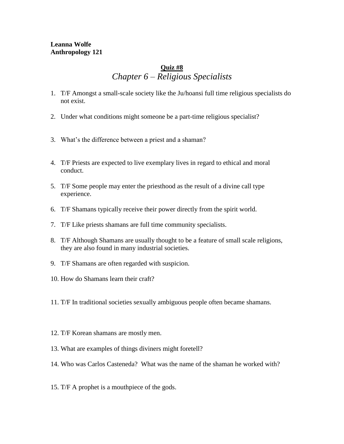## **Leanna Wolfe Anthropology 121**

## **Quiz #8** *Chapter 6 – Religious Specialists*

- 1. T/F Amongst a small-scale society like the Ju/hoansi full time religious specialists do not exist.
- 2. Under what conditions might someone be a part-time religious specialist?
- 3. What's the difference between a priest and a shaman?
- 4. T/F Priests are expected to live exemplary lives in regard to ethical and moral conduct.
- 5. T/F Some people may enter the priesthood as the result of a divine call type experience.
- 6. T/F Shamans typically receive their power directly from the spirit world.
- 7. T/F Like priests shamans are full time community specialists.
- 8. T/F Although Shamans are usually thought to be a feature of small scale religions, they are also found in many industrial societies.
- 9. T/F Shamans are often regarded with suspicion.
- 10. How do Shamans learn their craft?
- 11. T/F In traditional societies sexually ambiguous people often became shamans.
- 12. T/F Korean shamans are mostly men.
- 13. What are examples of things diviners might foretell?
- 14. Who was Carlos Casteneda? What was the name of the shaman he worked with?
- 15. T/F A prophet is a mouthpiece of the gods.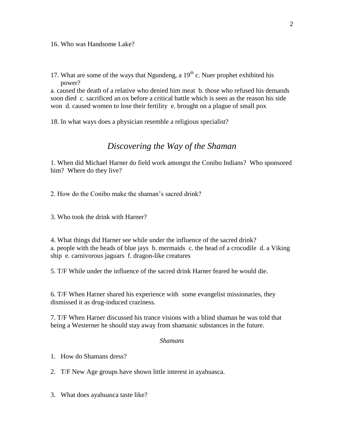16. Who was Handsome Lake?

17. What are some of the ways that Ngundeng, a  $19<sup>th</sup>$  c. Nuer prophet exhibited his power?

a. caused the death of a relative who denied him meat b. those who refused his demands soon died c. sacrificed an ox before a critical battle which is seen as the reason his side won d. caused women to lose their fertility e. brought on a plague of small pox

18. In what ways does a physician resemble a religious specialist?

## *Discovering the Way of the Shaman*

1. When did Michael Harner do field work amongst the Conibo Indians? Who sponsored him? Where do they live?

2. How do the Conibo make the shaman's sacred drink?

3. Who took the drink with Harner?

4. What things did Harner see while under the influence of the sacred drink? a. people with the heads of blue jays b. mermaids c. the head of a crocodile d. a Viking ship e. carnivorous jaguars f. dragon-like creatures

5. T/F While under the influence of the sacred drink Harner feared he would die.

6. T/F When Harner shared his experience with some evangelist missionaries, they dismissed it as drug-induced craziness.

7. T/F When Harner discussed his trance visions with a blind shaman he was told that being a Westerner he should stay away from shamanic substances in the future.

## *Shamans*

- 1. How do Shamans dress?
- 2. T/F New Age groups have shown little interest in ayahuasca.
- 3. What does ayahuasca taste like?